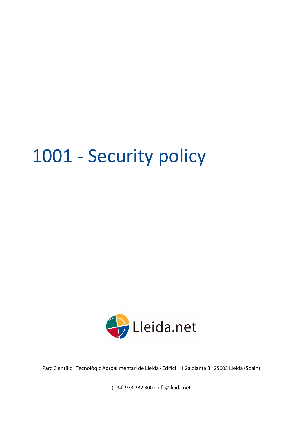# 1001 - Security policy



Parc Científic i Tecnològic Agroalimentari de Lleida · Edifici H1 2a planta B · 25003 Lleida (Spain)

(+34) 973 282 300 · info@lleida.net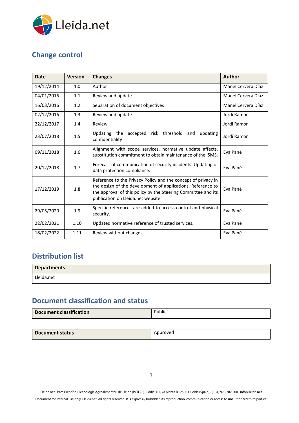

# <span id="page-1-0"></span>**Change control**

| <b>Date</b> | <b>Version</b> | <b>Changes</b>                                                                                                                                                                                                                     | <b>Author</b>      |
|-------------|----------------|------------------------------------------------------------------------------------------------------------------------------------------------------------------------------------------------------------------------------------|--------------------|
| 19/12/2014  | 1.0            | Author                                                                                                                                                                                                                             | Manel Cervera Díaz |
| 04/01/2016  | 1.1            | Review and update                                                                                                                                                                                                                  | Manel Cervera Díaz |
| 16/03/2016  | 1.2            | Separation of document objectives                                                                                                                                                                                                  | Manel Cervera Díaz |
| 02/12/2016  | 1.3            | Review and update                                                                                                                                                                                                                  | Jordi Ramón        |
| 22/12/2017  | 1.4            | Review                                                                                                                                                                                                                             | Jordi Ramón        |
| 23/07/2018  | 1.5            | Updating the<br>accepted risk threshold<br>and<br>updating<br>confidentiality                                                                                                                                                      | Jordi Ramón        |
| 09/11/2018  | 1.6            | Alignment with scope services, normative update affects,<br>substitution commitment to obtain maintenance of the ISMS.                                                                                                             | Eva Pané           |
| 20/12/2018  | 1.7            | Forecast of communication of security incidents. Updating of<br>data protection compliance.                                                                                                                                        | Eva Pané           |
| 17/12/2019  | 1.8            | Reference to the Privacy Policy and the concept of privacy in<br>the design of the development of applications. Reference to<br>the approval of this policy by the Steering Committee and its<br>publication on Lleida.net website | Eva Pané           |
| 29/05/2020  | 1.9            | Specific references are added to access control and physical<br>security.                                                                                                                                                          | Eva Pané           |
| 22/02/2021  | 1.10           | Updated normative reference of trusted services.                                                                                                                                                                                   | Eva Pané           |
| 18/02/2022  | 1.11           | Review without changes                                                                                                                                                                                                             | Eva Pané           |

## <span id="page-1-1"></span>**Distribution list**

| <b>Departments</b> |  |
|--------------------|--|
| Lleida.net         |  |

# <span id="page-1-2"></span>**Document classification and status**

| <b>Document classification</b> | -<br>Public |
|--------------------------------|-------------|
|--------------------------------|-------------|

| Document status | Approved |
|-----------------|----------|

Lleida.net · Parc Científic i Tecnològic Agroalimentari de Lleida (PCiTAL) · Edifici H1, 2a planta B · 25003 Lleida (Spain) · (+34) 973 282 300 · info@lleida.net

Document for internal use only. Lleida.net. All rights reserved. It is expressly forbidden its reproduction, communication or access to unauthorized third parties.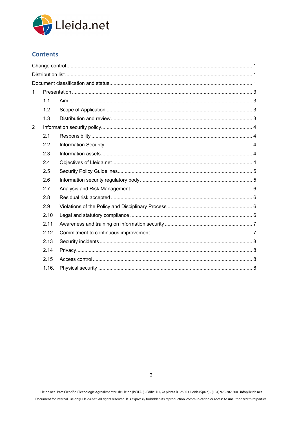

### **Contents**

| 1              |       |  |  |
|----------------|-------|--|--|
|                | 1.1   |  |  |
|                | 1.2   |  |  |
|                | 1.3   |  |  |
| $\overline{2}$ |       |  |  |
|                | 2.1   |  |  |
|                | 2.2   |  |  |
|                | 2.3   |  |  |
|                | 2.4   |  |  |
|                | 2.5   |  |  |
|                | 2.6   |  |  |
|                | 2.7   |  |  |
|                | 2.8   |  |  |
|                | 2.9   |  |  |
|                | 2.10  |  |  |
|                | 2.11  |  |  |
|                | 2.12  |  |  |
|                | 2.13  |  |  |
|                | 2.14  |  |  |
|                | 2.15  |  |  |
|                | 1.16. |  |  |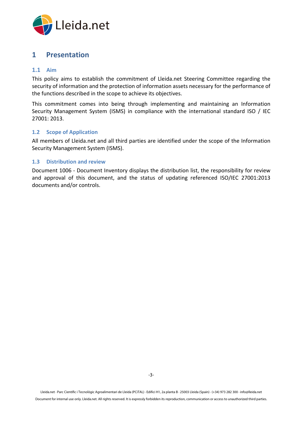

## <span id="page-3-0"></span>**1 Presentation**

#### <span id="page-3-1"></span>**1.1 Aim**

This policy aims to establish the commitment of Lleida.net Steering Committee regarding the security of information and the protection of information assets necessary for the performance of the functions described in the scope to achieve its objectives.

This commitment comes into being through implementing and maintaining an Information Security Management System (ISMS) in compliance with the international standard ISO / IEC 27001: 2013.

#### <span id="page-3-2"></span>**1.2 Scope of Application**

All members of Lleida.net and all third parties are identified under the scope of the Information Security Management System (ISMS).

#### <span id="page-3-3"></span>**1.3 Distribution and review**

Document 1006 - Document Inventory displays the distribution list, the responsibility for review and approval of this document, and the status of updating referenced ISO/IEC 27001:2013 documents and/or controls.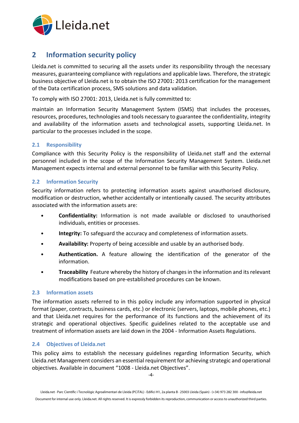

## <span id="page-4-0"></span>**2 Information security policy**

Lleida.net is committed to securing all the assets under its responsibility through the necessary measures, guaranteeing compliance with regulations and applicable laws. Therefore, the strategic business objective of Lleida.net is to obtain the ISO 27001: 2013 certification for the management of the Data certification process, SMS solutions and data validation.

To comply with ISO 27001: 2013, Lleida.net is fully committed to:

maintain an Information Security Management System (ISMS) that includes the processes, resources, procedures, technologies and tools necessary to guarantee the confidentiality, integrity and availability of the information assets and technological assets, supporting Lleida.net. In particular to the processes included in the scope.

#### <span id="page-4-1"></span>**2.1 Responsibility**

Compliance with this Security Policy is the responsibility of Lleida.net staff and the external personnel included in the scope of the Information Security Management System. Lleida.net Management expects internal and external personnel to be familiar with this Security Policy.

#### <span id="page-4-2"></span>**2.2 Information Security**

Security information refers to protecting information assets against unauthorised disclosure, modification or destruction, whether accidentally or intentionally caused. The security attributes associated with the information assets are:

- **Confidentiality:** Information is not made available or disclosed to unauthorised individuals, entities or processes.
- **Integrity:** To safeguard the accuracy and completeness of information assets.
- **Availability:** Property of being accessible and usable by an authorised body.
- **Authentication.** A feature allowing the identification of the generator of the information.
- **Traceability** Feature whereby the history of changes in the information and its relevant modifications based on pre-established procedures can be known.

#### <span id="page-4-3"></span>**2.3 Information assets**

The information assets referred to in this policy include any information supported in physical format (paper, contracts, business cards, etc.) or electronic (servers, laptops, mobile phones, etc.) and that Lleida.net requires for the performance of its functions and the achievement of its strategic and operational objectives. Specific guidelines related to the acceptable use and treatment of information assets are laid down in the 2004 - Information Assets Regulations.

#### <span id="page-4-4"></span>**2.4 Objectives of Lleida.net**

This policy aims to establish the necessary guidelines regarding Information Security, which Lleida.net Management considers an essential requirement for achieving strategic and operational objectives. Available in document "1008 - Lleida.net Objectives".

-4-

Document for internal use only. Lleida.net. All rights reserved. It is expressly forbidden its reproduction, communication or access to unauthorized third parties.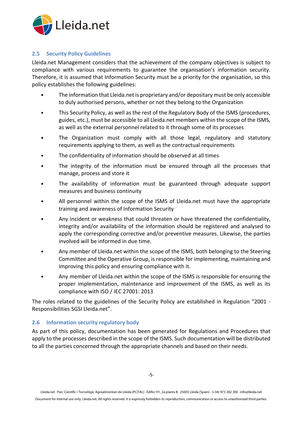

#### <span id="page-5-0"></span>**2.5 Security Policy Guidelines**

Lleida.net Management considers that the achievement of the company objectives is subject to compliance with various requirements to guarantee the organisation's information security. Therefore, it is assumed that Information Security must be a priority for the organisation, so this policy establishes the following guidelines:

- The information that Lleida.net is proprietary and/or depositary must be only accessible to duly authorised persons, whether or not they belong to the Organization
- This Security Policy, as well as the rest of the Regulatory Body of the ISMS (procedures, guides, etc.), must be accessible to all Lleida.net members within the scope of the ISMS, as well as the external personnel related to it through some of its processes
- The Organization must comply with all those legal, regulatory and statutory requirements applying to them, as well as the contractual requirements
- The confidentiality of information should be observed at all times
- The integrity of the information must be ensured through all the processes that manage, process and store it
- The availability of information must be guaranteed through adequate support measures and business continuity
- All personnel within the scope of the ISMS of Lleida.net must have the appropriate training and awareness of Information Security
- Any incident or weakness that could threaten or have threatened the confidentiality, integrity and/or availability of the information should be registered and analysed to apply the corresponding corrective and/or preventive measures. Likewise, the parties involved will be informed in due time.
- Any member of Lleida.net within the scope of the ISMS, both belonging to the Steering Committee and the Operative Group, is responsible for implementing, maintaining and improving this policy and ensuring compliance with it.
- Any member of Lleida.net within the scope of the ISMS is responsible for ensuring the proper implementation, maintenance and improvement of the ISMS, as well as its compliance with ISO / IEC 27001: 2013

The roles related to the guidelines of the Security Policy are established in Regulation "2001 - Responsibilities SGSI Lleida.net".

#### <span id="page-5-1"></span>**2.6 Information security regulatory body**

As part of this policy, documentation has been generated for Regulations and Procedures that apply to the processes described in the scope of the ISMS. Such documentation will be distributed to all the parties concerned through the appropriate channels and based on their needs.

Document for internal use only. Lleida.net. All rights reserved. It is expressly forbidden its reproduction, communication or access to unauthorized third parties.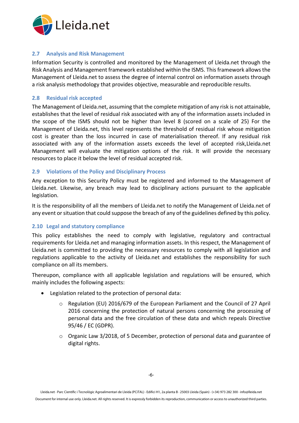

#### <span id="page-6-0"></span>**2.7 Analysis and Risk Management**

Information Security is controlled and monitored by the Management of Lleida.net through the Risk Analysis and Management framework established within the ISMS. This framework allows the Management of Lleida.net to assess the degree of internal control on information assets through a risk analysis methodology that provides objective, measurable and reproducible results.

#### <span id="page-6-1"></span>**2.8 Residual risk accepted**

The Management of Lleida.net, assuming that the complete mitigation of any risk is not attainable, establishes that the level of residual risk associated with any of the information assets included in the scope of the ISMS should not be higher than level 8 (scored on a scale of 25) For the Management of Lleida.net, this level represents the threshold of residual risk whose mitigation cost is greater than the loss incurred in case of materialisation thereof. If any residual risk associated with any of the information assets exceeds the level of accepted risk,Lleida.net Management will evaluate the mitigation options of the risk. It will provide the necessary resources to place it below the level of residual accepted risk.

#### <span id="page-6-2"></span>**2.9 Violations of the Policy and Disciplinary Process**

Any exception to this Security Policy must be registered and informed to the Management of Lleida.net. Likewise, any breach may lead to disciplinary actions pursuant to the applicable legislation.

It is the responsibility of all the members of Lleida.net to notify the Management of Lleida.net of any event or situation that could suppose the breach of any of the guidelines defined by this policy.

#### <span id="page-6-3"></span>**2.10 Legal and statutory compliance**

This policy establishes the need to comply with legislative, regulatory and contractual requirements for Lleida.net and managing information assets. In this respect, the Management of Lleida.net is committed to providing the necessary resources to comply with all legislation and regulations applicable to the activity of Lleida.net and establishes the responsibility for such compliance on all its members.

Thereupon, compliance with all applicable legislation and regulations will be ensured, which mainly includes the following aspects:

- Legislation related to the protection of personal data:
	- o Regulation (EU) 2016/679 of the European Parliament and the Council of 27 April 2016 concerning the protection of natural persons concerning the processing of personal data and the free circulation of these data and which repeals Directive 95/46 / EC (GDPR).
	- $\circ$  Organic Law 3/2018, of 5 December, protection of personal data and guarantee of digital rights.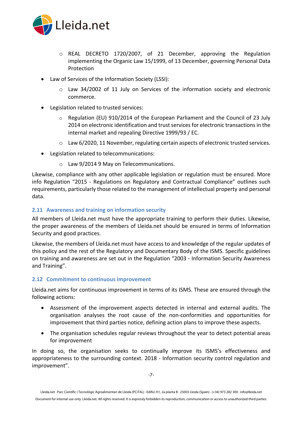

- o REAL DECRETO 1720/2007, of 21 December, approving the Regulation implementing the Organic Law 15/1999, of 13 December, governing Personal Data Protection
- Law of Services of the Information Society (LSSI):
	- o Law 34/2002 of 11 July on Services of the information society and electronic commerce.
- Legislation related to trusted services:
	- o Regulation (EU) 910/2014 of the European Parliament and the Council of 23 July 2014 on electronic identification and trust services for electronic transactions in the internal market and repealing Directive 1999/93 / EC.
	- $\circ$  Law 6/2020, 11 November, regulating certain aspects of electronic trusted services.
- Legislation related to telecommunications:
	- o Law 9/2014 9 May on Telecommunications.

Likewise, compliance with any other applicable legislation or regulation must be ensured. More info Regulation "2015 - Regulations on Regulatory and Contractual Compliance" outlines such requirements, particularly those related to the management of intellectual property and personal data.

#### <span id="page-7-0"></span>**2.11 Awareness and training on information security**

All members of Lleida.net must have the appropriate training to perform their duties. Likewise, the proper awareness of the members of Lleida.net should be ensured in terms of Information Security and good practices.

Likewise, the members of Lleida.net must have access to and knowledge of the regular updates of this policy and the rest of the Regulatory and Documentary Body of the ISMS. Specific guidelines on training and awareness are set out in the Regulation "2003 - Information Security Awareness and Training".

#### <span id="page-7-1"></span>**2.12 Commitment to continuous improvement**

Lleida.net aims for continuous improvement in terms of its ISMS. These are ensured through the following actions:

- Assessment of the improvement aspects detected in internal and external audits. The organisation analyses the root cause of the non-conformities and opportunities for improvement that third parties notice, defining action plans to improve these aspects.
- The organisation schedules regular reviews throughout the year to detect potential areas for improvement

In doing so, the organisation seeks to continually improve its ISMS's effectiveness and appropriateness to the surrounding context. 2018 - Information security control regulation and improvement".